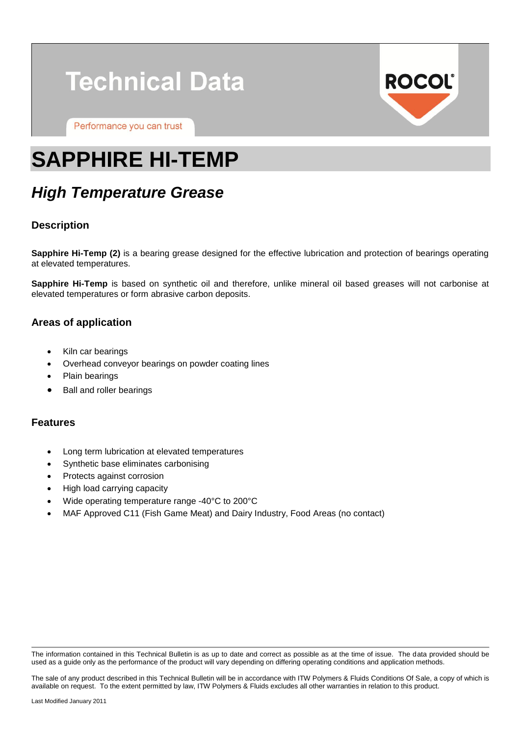# **Technical Data**

Performance you can trust



## **SAPPHIRE HI-TEMP**

### *High Temperature Grease*

#### **Description**

**Sapphire Hi-Temp (2)** is a bearing grease designed for the effective lubrication and protection of bearings operating at elevated temperatures.

**Sapphire Hi-Temp** is based on synthetic oil and therefore, unlike mineral oil based greases will not carbonise at elevated temperatures or form abrasive carbon deposits.

#### **Areas of application**

- Kiln car bearings
- Overhead conveyor bearings on powder coating lines
- Plain bearings
- Ball and roller bearings

#### **Features**

- Long term lubrication at elevated temperatures
- Synthetic base eliminates carbonising
- Protects against corrosion
- High load carrying capacity
- Wide operating temperature range -40°C to 200°C
- MAF Approved C11 (Fish Game Meat) and Dairy Industry, Food Areas (no contact)

The information contained in this Technical Bulletin is as up to date and correct as possible as at the time of issue. The data provided should be used as a guide only as the performance of the product will vary depending on differing operating conditions and application methods.

The sale of any product described in this Technical Bulletin will be in accordance with ITW Polymers & Fluids Conditions Of Sale, a copy of which is available on request. To the extent permitted by law, ITW Polymers & Fluids excludes all other warranties in relation to this product.